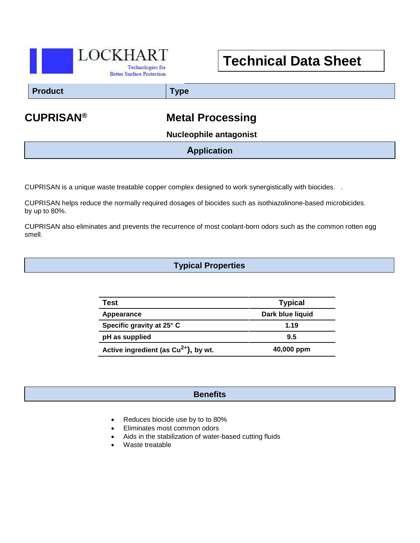

# **Technical Data Sheet**

#### **Product Type**

## **CUPRISAN® Metal Processing**

 **Nucleophile antagonist**

### **Application**

CUPRISAN is a unique waste treatable copper complex designed to work synergistically with biocides. .

CUPRISAN helps reduce the normally required dosages of biocides such as isothiazolinone-based microbicides. by up to 80%.

CUPRISAN also eliminates and prevents the recurrence of most coolant-born odors such as the common rotten egg smell.

#### **Typical Properties**

| Test                                             | <b>Typical</b>   |
|--------------------------------------------------|------------------|
| Appearance                                       | Dark blue liquid |
| Specific gravity at 25° C                        | 1.19             |
| pH as supplied                                   | 9.5              |
| Active ingredient (as Cu <sup>2+</sup> ), by wt. | 40,000 ppm       |

#### **Benefits**

- Reduces biocide use by to to 80%
- Eliminates most common odors
- Aids in the stabilization of water-based cutting fluids
- Waste treatable